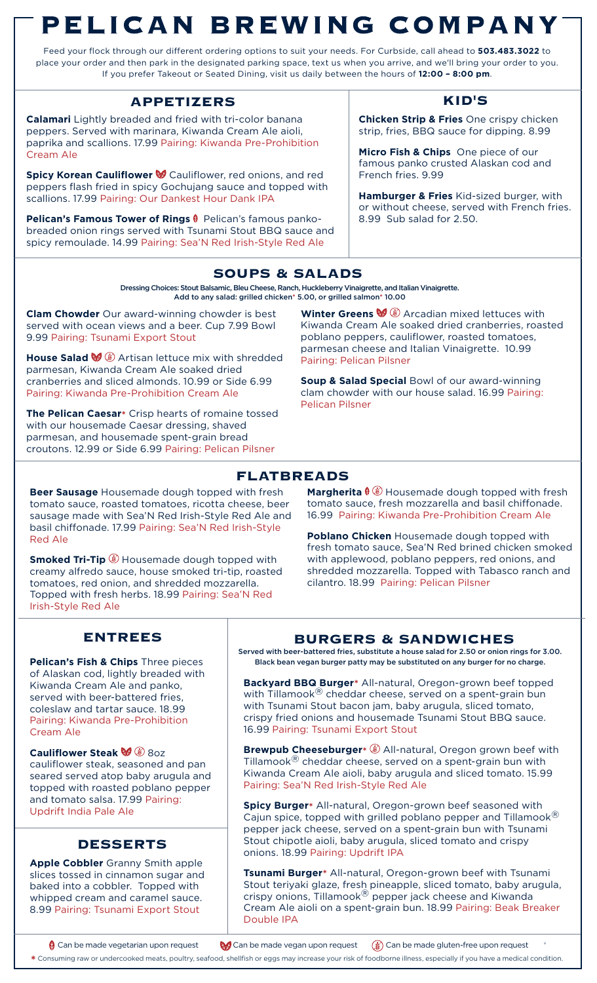# PELICAN BREWING COMPANY

Feed your flock through our different ordering options to suit your needs. For Curbside, call ahead to **503.483.3022** to place your order and then park in the designated parking space, text us when you arrive, and we'll bring your order to you. If you prefer Takeout or Seated Dining, visit us daily between the hours of **12:00 – 8:00 pm**.

# **APPETIZERS KID'S**

**Calamari** Lightly breaded and fried with tri-color banana peppers. Served with marinara, Kiwanda Cream Ale aioli, paprika and scallions. 17.99 Pairing: Kiwanda Pre-Prohibition Cream Ale

**Spicy Korean Cauliflower** Cauliflower, red onions, and red peppers flash fried in spicy Gochujang sauce and topped with scallions. 17.99 Pairing: Our Dankest Hour Dank IPA

**Pelican's Famous Tower of Rings** Pelican's famous pankobreaded onion rings served with Tsunami Stout BBQ sauce and spicy remoulade. 14.99 Pairing: Sea'N Red Irish-Style Red Ale

**Chicken Strip & Fries** One crispy chicken strip, fries, BBQ sauce for dipping. 8.99

**Micro Fish & Chips** One piece of our famous panko crusted Alaskan cod and French fries. 9.99

**Hamburger & Fries** Kid-sized burger, with or without cheese, served with French fries. 8.99 Sub salad for 2.50.

# **SOUPS & SALADS**

Dressing Choices: Stout Balsamic, Bleu Cheese, Ranch, Huckleberry Vinaigrette, and Italian Vinaigrette. Add to any salad: grilled chicken\* 5.00, or grilled salmon\* 10.00

**Clam Chowder** Our award-winning chowder is best served with ocean views and a beer. Cup 7.99 Bowl 9.99 Pairing: Tsunami Export Stout

**House Salad**  $\mathcal{A}$  Artisan lettuce mix with shredded parmesan, Kiwanda Cream Ale soaked dried cranberries and sliced almonds. 10.99 or Side 6.99 Pairing: Kiwanda Pre-Prohibition Cream Ale

**The Pelican Caesar\*** Crisp hearts of romaine tossed with our housemade Caesar dressing, shaved parmesan, and housemade spent-grain bread croutons. 12.99 or Side 6.99 Pairing: Pelican Pilsner

**Winter Greens**  $\mathcal{W}$   $\mathcal{L}$  Arcadian mixed lettuces with Kiwanda Cream Ale soaked dried cranberries, roasted poblano peppers, cauliflower, roasted tomatoes, parmesan cheese and Italian Vinaigrette. 10.99 Pairing: Pelican Pilsner

**Soup & Salad Special** Bowl of our award-winning clam chowder with our house salad. 16.99 Pairing: Pelican Pilsner

# **FLATBREADS**

**Beer Sausage** Housemade dough topped with fresh tomato sauce, roasted tomatoes, ricotta cheese, beer sausage made with Sea'N Red Irish-Style Red Ale and basil chiffonade. 17.99 Pairing: Sea'N Red Irish-Style Red Ale

**Smoked Tri-Tip D** Housemade dough topped with creamy alfredo sauce, house smoked tri-tip, roasted tomatoes, red onion, and shredded mozzarella. Topped with fresh herbs. 18.99 Pairing: Sea'N Red Irish-Style Red Ale

**Margherita**  $\sqrt[6]{3}$  Housemade dough topped with fresh tomato sauce, fresh mozzarella and basil chiffonade. 16.99 Pairing: Kiwanda Pre-Prohibition Cream Ale

**Poblano Chicken** Housemade dough topped with fresh tomato sauce, Sea'N Red brined chicken smoked with applewood, poblano peppers, red onions, and shredded mozzarella. Topped with Tabasco ranch and cilantro. 18.99 Pairing: Pelican Pilsner

# **ENTREES**

of Alaskan cod, lightly breaded with Kiwanda Cream Ale and panko, served with beer-battered fries, coleslaw and tartar sauce. 18.99 Pairing: Kiwanda Pre-Prohibition Cream Ale

**Cauliflower Steak**  $\mathcal{G} \circledast$  **80z** cauliflower steak, seasoned and pan seared served atop baby arugula and topped with roasted poblano pepper and tomato salsa. 17.99 Pairing: Updrift India Pale Ale

# **DESSERTS**

**Apple Cobbler** Granny Smith apple slices tossed in cinnamon sugar and baked into a cobbler. Topped with whipped cream and caramel sauce. 8.99 Pairing: Tsunami Export Stout

## **BURGERS & SANDWICHES**

Served with beer-battered fries, substitute a house salad for 2.50 or onion rings for 3.00. **Pelican's Fish & Chips** Three pieces Black bean vegan burger patty may be substituted on any burger for no charge.

> **Backyard BBQ Burger\*** All-natural, Oregon-grown beef topped with Tillamook<sup>®</sup> cheddar cheese, served on a spent-grain bun with Tsunami Stout bacon jam, baby arugula, sliced tomato, crispy fried onions and housemade Tsunami Stout BBQ sauce. 16.99 Pairing: Tsunami Export Stout

**Brewpub Cheeseburger\***  $\mathcal{B}$  All-natural, Oregon grown beef with Tillamook ${}^{\circledR}$  cheddar cheese, served on a spent-grain bun with Kiwanda Cream Ale aioli, baby arugula and sliced tomato. 15.99 Pairing: Sea'N Red Irish-Style Red Ale

**Spicy Burger\*** All-natural, Oregon-grown beef seasoned with Cajun spice, topped with grilled poblano pepper and Tillamook $^{\circledR}$ pepper jack cheese, served on a spent-grain bun with Tsunami Stout chipotle aioli, baby arugula, sliced tomato and crispy onions. 18.99 Pairing: Updrift IPA

**Tsunami Burger\*** All-natural, Oregon-grown beef with Tsunami Stout teriyaki glaze, fresh pineapple, sliced tomato, baby arugula, crispy onions, Tillamook<sup>®</sup> pepper jack cheese and Kiwanda Cream Ale aioli on a spent-grain bun. 18.99 Pairing: Beak Breaker Double IPA

Can be made vegetarian upon request  $\mathbb{Q}$  Can be made vegan upon request  $\mathbb{Q}$  Can be made gluten-free upon request

**\*** Consuming raw or undercooked meats, poultry, seafood, shellfish or eggs may increase your risk of foodborne illness, especially if you have a medical condition.